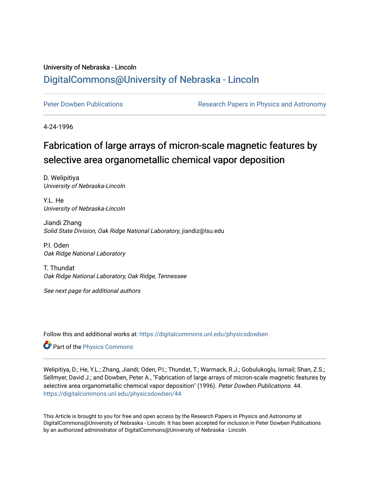## University of Nebraska - Lincoln [DigitalCommons@University of Nebraska - Lincoln](https://digitalcommons.unl.edu/)

[Peter Dowben Publications](https://digitalcommons.unl.edu/physicsdowben) **Research Papers in Physics and Astronomy** 

4-24-1996

# Fabrication of large arrays of micron-scale magnetic features by selective area organometallic chemical vapor deposition

D. Welipitiya University of Nebraska-Lincoln

Y.L. He University of Nebraska-Lincoln

Jiandi Zhang Solid State Division, Oak Ridge National Laboratory, jiandiz@lsu.edu

P.I. Oden Oak Ridge National Laboratory

T. Thundat Oak Ridge National Laboratory, Oak Ridge, Tennessee

See next page for additional authors

Follow this and additional works at: [https://digitalcommons.unl.edu/physicsdowben](https://digitalcommons.unl.edu/physicsdowben?utm_source=digitalcommons.unl.edu%2Fphysicsdowben%2F44&utm_medium=PDF&utm_campaign=PDFCoverPages) 

Part of the [Physics Commons](http://network.bepress.com/hgg/discipline/193?utm_source=digitalcommons.unl.edu%2Fphysicsdowben%2F44&utm_medium=PDF&utm_campaign=PDFCoverPages)

Welipitiya, D.; He, Y.L.; Zhang, Jiandi; Oden, P.I.; Thundat, T.; Warmack, R.J.; Gobulukoglu, Ismail; Shan, Z.S.; Sellmyer, David J.; and Dowben, Peter A., "Fabrication of large arrays of micron-scale magnetic features by selective area organometallic chemical vapor deposition" (1996). Peter Dowben Publications. 44. [https://digitalcommons.unl.edu/physicsdowben/44](https://digitalcommons.unl.edu/physicsdowben/44?utm_source=digitalcommons.unl.edu%2Fphysicsdowben%2F44&utm_medium=PDF&utm_campaign=PDFCoverPages)

This Article is brought to you for free and open access by the Research Papers in Physics and Astronomy at DigitalCommons@University of Nebraska - Lincoln. It has been accepted for inclusion in Peter Dowben Publications by an authorized administrator of DigitalCommons@University of Nebraska - Lincoln.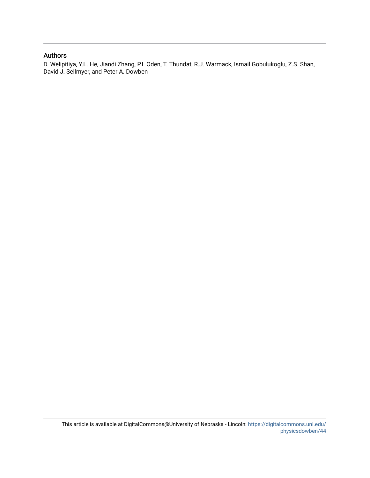#### Authors

D. Welipitiya, Y.L. He, Jiandi Zhang, P.I. Oden, T. Thundat, R.J. Warmack, Ismail Gobulukoglu, Z.S. Shan, David J. Sellmyer, and Peter A. Dowben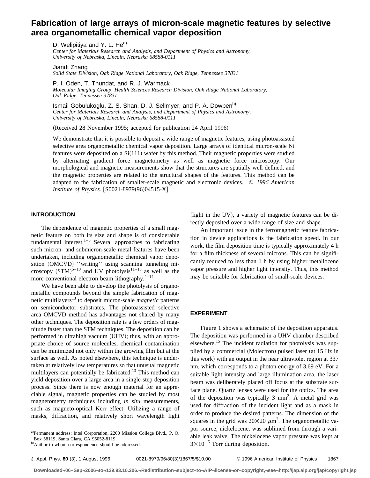### **Fabrication of large arrays of micron-scale magnetic features by selective area organometallic chemical vapor deposition**

D. Welipitiya and Y. L. He<sup>a)</sup> *Center for Materials Research and Analysis, and Department of Physics and Astronomy, University of Nebraska, Lincoln, Nebraska 68588-0111*

Jiandi Zhang

*Oak Ridge, Tennessee 37831*

*Solid State Division, Oak Ridge National Laboratory, Oak Ridge, Tennessee 37831*

P. I. Oden, T. Thundat, and R. J. Warmack *Molecular Imaging Group, Health Sciences Research Division, Oak Ridge National Laboratory,*

Ismail Gobulukoglu, Z. S. Shan, D. J. Sellmyer, and P. A. Dowben<sup>b)</sup> *Center for Materials Research and Analysis, and Department of Physics and Astronomy, University of Nebraska, Lincoln, Nebraska 68588-0111*

(Received 28 November 1995; accepted for publication 24 April 1996)

We demonstrate that it is possible to deposit a wide range of magnetic features, using photoassisted selective area organometallic chemical vapor deposition. Large arrays of identical micron-scale Ni features were deposited on a  $Si(111)$  wafer by this method. Their magnetic properties were studied by alternating gradient force magnetometry as well as magnetic force microscopy. Our morphological and magnetic measurements show that the structures are spatially well defined, and the magnetic properties are related to the structural shapes of the features. This method can be adapted to the fabrication of smaller-scale magnetic and electronic devices. © *1996 American Institute of Physics.* [S0021-8979(96)04515-X]

#### **INTRODUCTION**

The dependence of magnetic properties of a small magnetic feature on both its size and shape is of considerable fundamental interest. $1-5$  Several approaches to fabricating such micron- and submicron-scale metal features have been undertaken, including organometallic chemical vapor deposition (OMCVD) "writing" using scanning tunneling microscopy  $(STM)^{5-10}$  and UV photolysis<sup>11–13</sup> as well as the more conventional electron beam lithography. $4-14$ 

We have been able to develop the photolysis of organometallic compounds beyond the simple fabrication of magnetic multilayers<sup>13</sup> to deposit micron-scale *magnetic* patterns on semiconductor substrates. The photoassisted selective area OMCVD method has advantages not shared by many other techniques. The deposition rate is a few orders of magnitude faster than the STM techniques. The deposition can be performed in ultrahigh vacuum (UHV); thus, with an appropriate choice of source molecules, chemical contamination can be minimized not only within the growing film but at the surface as well. As noted elsewhere, this technique is undertaken at relatively low temperatures so that unusual magnetic multilayers can potentially be fabricated.<sup>13</sup> This method can yield deposition over a large area in a single-step deposition process. Since there is now enough material for an appreciable signal, magnetic properties can be studied by most magnetometry techniques including *in situ* measurements, such as magneto-optical Kerr effect. Utilizing a range of masks, diffraction, and relatively short wavelength light

An important issue in the ferromagnetic feature fabrication in device applications is the fabrication speed. In our work, the film deposition time is typically approximately 4 h for a film thickness of several microns. This can be significantly reduced to less than 1 h by using higher metallocene vapor pressure and higher light intensity. Thus, this method may be suitable for fabrication of small-scale devices.

(light in the UV), a variety of magnetic features can be directly deposited over a wide range of size and shape.

#### **EXPERIMENT**

Figure 1 shows a schematic of the deposition apparatus. The deposition was performed in a UHV chamber described elsewhere.15 The incident radiation for photolysis was supplied by a commercial (Molectron) pulsed laser (at 15 Hz in this work) with an output in the near ultraviolet region at 337 nm, which corresponds to a photon energy of 3.69 eV. For a suitable light intensity and large illumination area, the laser beam was deliberately placed off focus at the substrate surface plane. Quartz lenses were used for the optics. The area of the deposition was typically  $3 \text{ mm}^2$ . A metal grid was used for diffraction of the incident light and as a mask in order to produce the desired patterns. The dimension of the squares in the grid was  $20\times20 \ \mu \text{m}^2$ . The organometallic vapor source, nickelocene, was sublimed from through a variable leak valve. The nickelocene vapor pressure was kept at  $3\times10^{-5}$  Torr during deposition.

a)Permanent address: Intel Corporation, 2200 Mission College Blvd., P. O. Box 58119, Santa Clara, CA 95052-8119.

b) Author to whom correspondence should be addressed.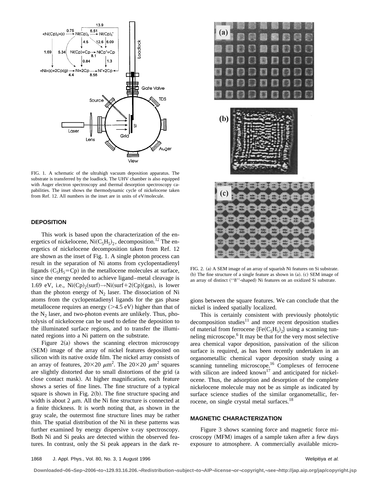

FIG. 1. A schematic of the ultrahigh vacuum deposition apparatus. The substrate is transferred by the loadlock. The UHV chamber is also equipped with Auger electron spectroscopy and thermal desorption spectroscopy capabilities. The inset shows the thermodynamic cycle of nickelocene taken from Ref. 12. All numbers in the inset are in units of eV/molecule.

#### **DEPOSITION**

This work is based upon the characterization of the energetics of nickelocene,  $Ni(C_5H_5)_2$ , decomposition.<sup>12</sup> The energetics of nickelocene decomposition taken from Ref. 12 are shown as the inset of Fig. 1. A single photon process can result in the separation of Ni atoms from cyclopentadienyl ligands  $(C_5H_5=CD)$  in the metallocene molecules at surface, since the energy needed to achieve ligand–metal cleavage is 1.69 eV, i.e.,  $Ni(Cp)_{2}({\rm surf}) \rightarrow Ni({\rm surf}+2(Cp)({\rm gas}),$  is lower than the photon energy of  $N_2$  laser. The dissociation of Ni atoms from the cyclopentadienyl ligands for the gas phase metallocene requires an energy  $(>4.5 \text{ eV})$  higher than that of the  $N_2$  laser, and two-photon events are unlikely. Thus, photolysis of nickelocene can be used to define the deposition to the illuminated surface regions, and to transfer the illuminated regions into a Ni pattern on the substrate.

Figure  $2(a)$  shows the scanning electron microscopy (SEM) image of the array of nickel features deposited on silicon with its native oxide film. The nickel array consists of an array of features,  $20\times20 \ \mu m^2$ . The  $20\times20 \ \mu m^2$  squares are slightly distorted due to small distortions of the grid (a close contact mask). At higher magnification, each feature shows a series of fine lines. The fine structure of a typical square is shown in Fig.  $2(b)$ . The fine structure spacing and width is about 2  $\mu$ m. All the Ni fine structure is connected at a finite thickness. It is worth noting that, as shown in the gray scale, the outermost fine structure lines may be rather thin. The spatial distribution of the Ni in these patterns was further examined by energy dispersive x-ray spectroscopy. Both Ni and Si peaks are detected within the observed features. In contrast, only the Si peak appears in the dark re-



FIG. 2. (a) A SEM image of an array of squarish Ni features on Si substrate.  $~$  (b) The fine structure of a single feature as shown in  $~$  (a).  $~$  (c) SEM image of an array of distinct ("8"-shaped) Ni features on an oxidized Si substrate.

gions between the square features. We can conclude that the nickel is indeed spatially localized.

This is certainly consistent with previously photolytic  $decomposition$  studies<sup>11</sup> and more recent deposition studies of material from ferrocene  ${Fe(C<sub>5</sub>H<sub>5</sub>)}$  using a scanning tunneling microscope.<sup>6</sup> It may be that for the very most selective area chemical vapor deposition, passivation of the silicon surface is required, as has been recently undertaken in an organometallic chemical vapor deposition study using a scanning tunneling microscope.<sup>16</sup> Complexes of ferrocene with silicon are indeed known<sup>17</sup> and anticipated for nickelocene. Thus, the adsorption and desorption of the complete nickelocene molecule may not be as simple as indicated by surface science studies of the similar organometallic, ferrocene, on single crystal metal surfaces.<sup>18</sup>

#### **MAGNETIC CHARACTERIZATION**

Figure 3 shows scanning force and magnetic force microscopy (MFM) images of a sample taken after a few days exposure to atmosphere. A commercially available micro-

**Downloaded¬06¬Sep¬2006¬to¬129.93.16.206.¬Redistribution¬subject¬to¬AIP¬license¬or¬copyright,¬see¬http://jap.aip.org/jap/copyright.jsp**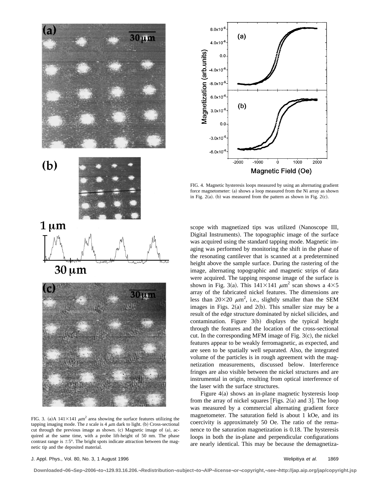

FIG. 3. (a)A  $141 \times 141 \mu m^2$  area showing the surface features utilizing the tapping imaging mode. The  $z$  scale is 4  $\mu$ m dark to light. (b) Cross-sectional cut through the previous image as shown.  $(c)$  Magnetic image of  $(a)$ , acquired at the same time, with a probe lift-height of 50 nm. The phase contrast range is  $\pm 5^{\circ}$ . The bright spots indicate attraction between the magnetic tip and the deposited material.



FIG. 4. Magnetic hysteresis loops measured by using an alternating gradient force magnetometer:  $(a)$  shows a loop measured from the Ni array as shown in Fig. 2(a). (b) was measured from the pattern as shown in Fig. 2(c).

scope with magnetized tips was utilized (Nanoscope III, Digital Instruments). The topographic image of the surface was acquired using the standard tapping mode. Magnetic imaging was performed by monitoring the shift in the phase of the resonating cantilever that is scanned at a predetermined height above the sample surface. During the rastering of the image, alternating topographic and magnetic strips of data were acquired. The tapping response image of the surface is shown in Fig. 3(a). This  $141\times141 \ \mu m^2$  scan shows a  $4\times5$ array of the fabricated nickel features. The dimensions are less than  $20\times 20 \mu m^2$ , i.e., slightly smaller than the SEM images in Figs.  $2(a)$  and  $2(b)$ . This smaller size may be a result of the edge structure dominated by nickel silicides, and contamination. Figure  $3(b)$  displays the typical height through the features and the location of the cross-sectional cut. In the corresponding MFM image of Fig.  $3(c)$ , the nickel features appear to be weakly ferromagnetic, as expected, and are seen to be spatially well separated. Also, the integrated volume of the particles is in rough agreement with the magnetization measurements, discussed below. Interference fringes are also visible between the nickel structures and are instrumental in origin, resulting from optical interference of the laser with the surface structures.

Figure  $4(a)$  shows an in-plane magnetic hysteresis loop from the array of nickel squares [Figs.  $2(a)$  and 3]. The loop was measured by a commercial alternating gradient force magnetometer. The saturation field is about 1 kOe, and its coercivity is approximately 50 Oe. The ratio of the remanence to the saturation magnetization is 0.18. The hysteresis loops in both the in-plane and perpendicular configurations are nearly identical. This may be because the demagnetiza-

#### J. Appl. Phys., Vol. 80, No. 3, 1 August 1996 Welipitiya et al. 1869

**Downloaded¬06¬Sep¬2006¬to¬129.93.16.206.¬Redistribution¬subject¬to¬AIP¬license¬or¬copyright,¬see¬http://jap.aip.org/jap/copyright.jsp**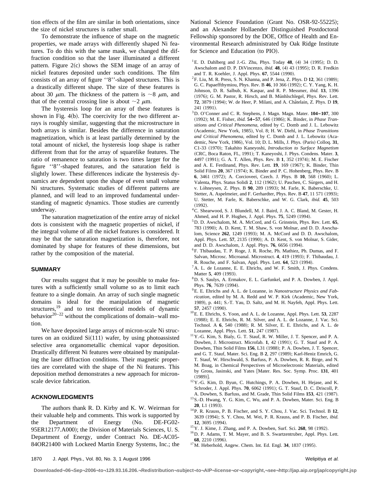tion effects of the film are similar in both orientations, since the size of nickel structures is rather small.

To demonstrate the influence of shape on the magnetic properties, we made arrays with differently shaped Ni features. To do this with the same mask, we changed the diffraction condition so that the laser illuminated a different pattern. Figure  $2(c)$  shows the SEM image of an array of nickel features deposited under such conditions. The film consists of an array of figure ''8''-shaped structures. This is a drastically different shape. The size of these features is about 30  $\mu$ m. The thickness of the pattern is  $\sim$ 8  $\mu$ m, and that of the central crossing line is about  $\sim$ 2  $\mu$ m.

The hysteresis loop for an array of these features is shown in Fig.  $4(b)$ . The coercivity for the two different arrays is roughly similar, suggesting that the microstructure in both arrays is similar. Besides the difference in saturation magnetization, which is at least partially determined by the total amount of nickel, the hysteresis loop shape is rather different from that for the array of squarelike features. The ratio of remanence to saturation is two times larger for the figure ''8''-shaped features, and the saturation field is slightly lower. These differences indicate the hysteresis dynamics are dependent upon the shape of even small volume Ni structures. Systematic studies of different patterns are planned, and will lead to an improved fundamental understanding of magnetic dynamics. Those studies are currently underway.

The saturation magnetization of the entire array of nickel dots is consistent with the magnetic properties of nickel, if the integral volume of all the nickel features is considered. It may be that the saturation magnetization is, therefore, not dominated by shape for features of these dimensions, but rather by the composition of the material.

#### **SUMMARY**

Our results suggest that it may be possible to make features with a sufficiently small volume so as to limit each feature to a single domain. An array of such single magnetic domains is ideal for the manipulation of magnetic structures, $\frac{19}{19}$  and to test theoretical models of dynamic behavior $20-22$  without the complications of domain–wall motion.

We have deposited large arrays of micron-scale Ni structures on an oxidized  $Si(111)$  wafer, by using photoassisted selective area organometallic chemical vapor deposition. Drastically different Ni features were obtained by manipulating the laser diffraction conditions. Their magnetic properties are correlated with the shape of the Ni features. This deposition method demonstrates a new approach for micronscale device fabrication.

#### **ACKNOWLEDGMENTS**

The authors thank R. D. Kirby and K. W. Weirman for their valuable help and comments. This work is supported by the Department of Energy (No. DE-FG02-95ER12177.A000); the Division of Materials Sciences, U.S. Department of Energy, under Contract No. DE-AC05- 84OR21400 with Lockeed Martin Energy Systems, Inc.; the National Science Foundation (Grant No. OSR-92-55225); and an Alexander Hollaender Distinguished Postdoctoral Fellowship sponsored by the DOE, Office of Health and Environmental Research administrated by Oak Ridge Institute for Science and Education (to PIO).

 $^{1}$ E. D. Dahlberg and J.-G. Zhu, Phys. Today 48, (4) 34 (1995); D. D. Awschalom and D. P. DiVincenzo, *ibid.* 48, (4) 43 (1995); D. R. Fredkin and T. R. Koehler, J. Appl. Phys. 67, 5544 (1990).

- <sup>2</sup>F. Liu, M. R. Press, S. N. Khanna, and P. Jena, Z. Phys. D 12, 361 (1989); G. C. Papaeffthymiou, Phys. Rev. B 46, 10 366 (1992); C. Y. Yang, K. H. Johnson, D. R. Salbub, K. Kaspar, and R. P. Messmer, *ibid.* **13**, 1396 (1976); G. M. Pastor, R. Hirsch, and B. Münhlschlegel, Phys. Rev. Lett. **72**, 3879 (1994); W. de Heer, P. Milani, and A. Châtelain, Z. Phys. D 19, 241 (1991).
- 3D. O'Conner and C. R. Stephens, J. Magn. Magn. Mater. **104–107**, 300 (1992); M. E. Fisher, *ibid.* **54-57**, 646 (1986); K. Binder, in *Phase Transitions and Critical Phenomena*, edited by C. Domb and J. L. Lebowitz ~Academic, New York, 1985!, Vol. 8; H. W. Diehl, in *Phase Transitions* and Critical Phenomena, edited by C. Domb and J. L. Lebowitz (Academic, New York, 1986), Vol. 10; D. L. Mills, J. Phys. (Paris) Colloq. 31, C1-33 (1970); Takahito Kaneyoshi, *Introduction to Surface Magnetism* (CRC, Boca Raton, FL, 1991); T. Kaneyoshi, J. Phys. Condens. Mater. 3, 4497 (1991); G. A. T. Allen, Phys. Rev. B 1, 352 (1974); M. E. Fischer and A. E. Ferdinand, Phys. Rev. Lett. 19, 169 (1967); K. Binder, Thin Solid Films 20, 367 (1974); K. Binder and P. C. Hohenberg, Phys. Rev. B **6**, 3461 (1972); A. Corcioveei, Czech. J. Phys. B 10, 568 (1960); L. Valenta, Phys. Status Solidi 2, 112 (1962); U. Paschen, C. Sürgers, and H. v. Löhneysen, Z. Phys. B 90, 289 (1993); M. Farle, K. Baberschke, U. Stetter, A. Aspelmeier, and F. Gerhardter, Phys. Rev. B 47, 11 571 (1993); U. Stetter, M. Farle, K. Baberschke, and W. G. Clark, *ibid.* **45**, 503  $(1992)$ .
- 4C. Shearwood, S. J. Blundell, M. J. Baird, J. A. C. Bland, M. Gester, H. Ahmed, and H. P. Hughes, J. Appl. Phys. **75**, 5249 (1994).
- 5D. D. Awschalom, M. A. McCord, and G. Grinstein, Phys. Rev. Lett. **65**, 783 (1990); A. D. Kent, T. M. Shaw, S. von Molnar, and D. D. Awschalom, Science 262, 1249 (1993); M. A. McCord and D. D. Awschalom, Appl. Phys. Lett. 57, 2135 (1990); A. D. Kent, S. von Molnar, S. Gider, and D. D. Awschalom, J. Appl. Phys. **76**, 6656 (1994).
- 6F. Thibaudau, T. P. Roge, J. R. Roche, Ph. Mathiez, Ph. Dumas, and F. Salvan, Microsc. Microanal. Microstruct. 4, 419 (1993); F. Thibaudau, J. R. Rouche, and F. Salvan, Appl. Phys. Lett. **64**, 523 (1994).
- ${}^{7}$ A. L. de Lozanne, E. E. Ehrichs, and W. F. Smith, J. Phys. Condens. Matter 5, 409 (1993).
- 8D. S. Saulys, A. Ermakov, E. L. Garfunkel, and P. A. Dowben, J. Appl. Phys. 76, 7639 (1994).
- 9E. E. Ehrichs and A. L. de Lozanne, in *Nanostructure Physics and Fab*rication, edited by M. A. Redd and W. P. Kirk (Academic, New York, 1989), p. 441; S.-T. Yau, D. Saltz, and M. H. Nayfeh, Appl. Phys. Lett. **57**, 2457 (1990).
- 10E. E. Ehrichs, S. Yoon, and A. L. de Lozanne, Appl. Phys. Lett. **53**, 2287 (1988); E. E. Ehrichs, R. M. Silver, and A. L. de Lozanne, J. Vac. Sci. Technol. A 6, 540 (1988); R. M. Silver, E. E. Ehrichs, and A. L. de Lozanne, Appl. Phys. Lett. **51**, 247 (1987).
- 11Y.-G. Kim, S. Bialy, G. T. Stauf, R. W. Miller, J. T. Spencer, and P. A. Dowben, J. Microstruct. Microfab. 1, 42 (1991); G. T. Stauf and P. A. Dowben, Thin Solid Films 156, L31 (1988); P. A. Dowben, J. T. Spencer, and G. T. Stauf, Mater. Sci. Eng. B 2, 297 (1989); Karl-Heniz Emrich, G. T. Stauf, W. Hirschwald, S. Barfuss, P. A. Dowben, R. R. Birge, and N. M. Boag, in Chemical Perspectives of Microelectronic Materials, edited by Gross, Jasinski, and Yates [Mater. Res. Soc. Symp. Proc. 131, 401  $(1989)$ ].
- 12Y.-G. Kim, D. Byun, C. Hutchings, P. A. Dowben, H. Hejase, and K. Schroder, J. Appl. Phys. **70**, 6062 (1991); G. T. Stauf, D. C. Driscoll, P. A. Dowben, S. Barfuss, and M. Grade, Thin Solid Films 153, 421 (1987).
- 13S.-D. Hwang, Y. G. Kim, C. Wu, and P. A. Dowben, Mater. Sci. Eng. B **20**, L1 (1993).
- 14P. R. Krauss, P. B. Fischer, and S. Y. Chou, J. Vac. Sci. Technol. B **12**, 3639 (1994); S. Y. Chou, M. Wei, P. R. Krauss, and P. B. Fischer, *ibid.* 12, 3695 (1994).
- <sup>15</sup> Y. J. Kime, J. Zhang, and P. A. Dowben, Surf. Sci. **268**, 98 (1992).
- 16D. P. Adams, T. M. Mayer, and B. S. Swartzentruber, Appl. Phys. Lett. **68**, 2210 (1996).
- <sup>17</sup>M. Heberhold, Angew. Chem. Int. Ed. Engl. **34**, 1837 (1995).

**Downloaded¬06¬Sep¬2006¬to¬129.93.16.206.¬Redistribution¬subject¬to¬AIP¬license¬or¬copyright,¬see¬http://jap.aip.org/jap/copyright.jsp**